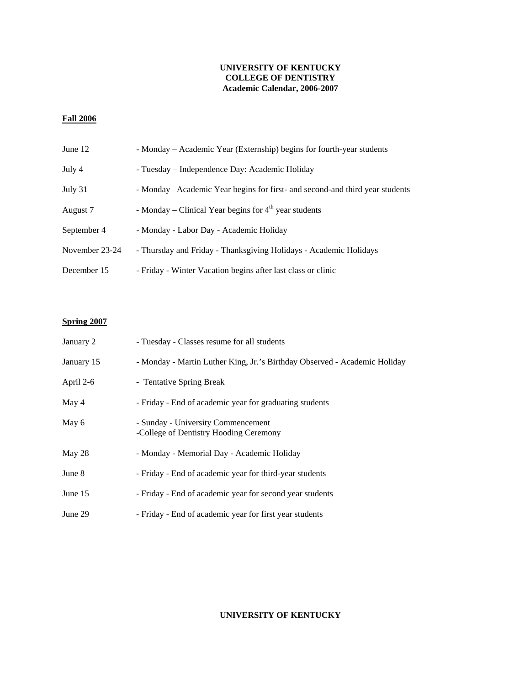### **UNIVERSITY OF KENTUCKY COLLEGE OF DENTISTRY Academic Calendar, 2006-2007**

## **Fall 2006**

| June 12        | - Monday – Academic Year (Externship) begins for fourth-year students         |
|----------------|-------------------------------------------------------------------------------|
| July 4         | - Tuesday – Independence Day: Academic Holiday                                |
| July 31        | - Monday – Academic Year begins for first- and second-and third year students |
| August 7       | - Monday – Clinical Year begins for $4th$ year students                       |
| September 4    | - Monday - Labor Day - Academic Holiday                                       |
| November 23-24 | - Thursday and Friday - Thanksgiving Holidays - Academic Holidays             |
| December 15    | - Friday - Winter Vacation begins after last class or clinic                  |

## **Spring 2007**

| January 2  | - Tuesday - Classes resume for all students                                  |
|------------|------------------------------------------------------------------------------|
| January 15 | - Monday - Martin Luther King, Jr.'s Birthday Observed - Academic Holiday    |
| April 2-6  | - Tentative Spring Break                                                     |
| May 4      | - Friday - End of academic year for graduating students                      |
| May 6      | - Sunday - University Commencement<br>-College of Dentistry Hooding Ceremony |
| May 28     | - Monday - Memorial Day - Academic Holiday                                   |
| June 8     | - Friday - End of academic year for third-year students                      |
| June 15    | - Friday - End of academic year for second year students                     |
| June 29    | - Friday - End of academic year for first year students                      |

## **UNIVERSITY OF KENTUCKY**